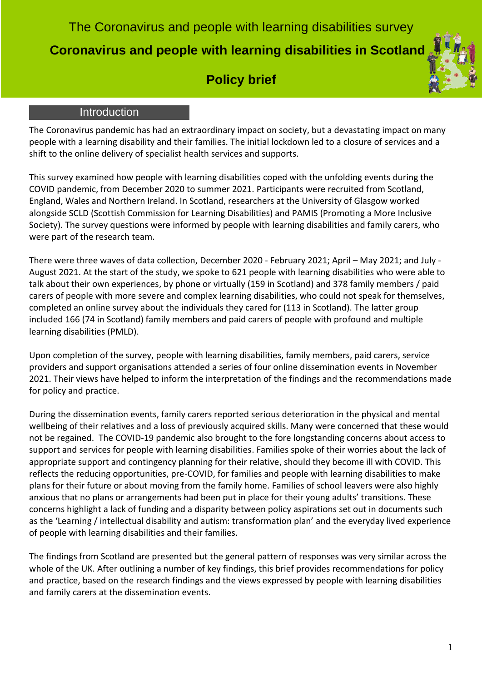The Coronavirus and people with learning disabilities survey  **Coronavirus and people with learning disabilities in Scotland**

# **Policy brief**

## Introduction

The Coronavirus pandemic has had an extraordinary impact on society, but a devastating impact on many people with a learning disability and their families. The initial lockdown led to a closure of services and a shift to the online delivery of specialist health services and supports.

This survey examined how people with learning disabilities coped with the unfolding events during the COVID pandemic, from December 2020 to summer 2021. Participants were recruited from Scotland, England, Wales and Northern Ireland. In Scotland, researchers at the University of Glasgow worked alongside SCLD (Scottish Commission for Learning Disabilities) and PAMIS (Promoting a More Inclusive Society). The survey questions were informed by people with learning disabilities and family carers, who were part of the research team.

There were three waves of data collection, December 2020 - February 2021; April – May 2021; and July - August 2021. At the start of the study, we spoke to 621 people with learning disabilities who were able to talk about their own experiences, by phone or virtually (159 in Scotland) and 378 family members / paid carers of people with more severe and complex learning disabilities, who could not speak for themselves, completed an online survey about the individuals they cared for (113 in Scotland). The latter group included 166 (74 in Scotland) family members and paid carers of people with profound and multiple learning disabilities (PMLD).

Upon completion of the survey, people with learning disabilities, family members, paid carers, service providers and support organisations attended a series of four online dissemination events in November 2021. Their views have helped to inform the interpretation of the findings and the recommendations made for policy and practice.

During the dissemination events, family carers reported serious deterioration in the physical and mental wellbeing of their relatives and a loss of previously acquired skills. Many were concerned that these would not be regained. The COVID-19 pandemic also brought to the fore longstanding concerns about access to support and services for people with learning disabilities. Families spoke of their worries about the lack of appropriate support and contingency planning for their relative, should they become ill with COVID. This reflects the reducing opportunities, pre-COVID, for families and people with learning disabilities to make plans for their future or about moving from the family home. Families of school leavers were also highly anxious that no plans or arrangements had been put in place for their young adults' transitions. These concerns highlight a lack of funding and a disparity between policy aspirations set out in documents such as the 'Learning / intellectual disability and autism: transformation plan' and the everyday lived experience of people with learning disabilities and their families.

The findings from Scotland are presented but the general pattern of responses was very similar across the whole of the UK. After outlining a number of key findings, this brief provides recommendations for policy and practice, based on the research findings and the views expressed by people with learning disabilities and family carers at the dissemination events.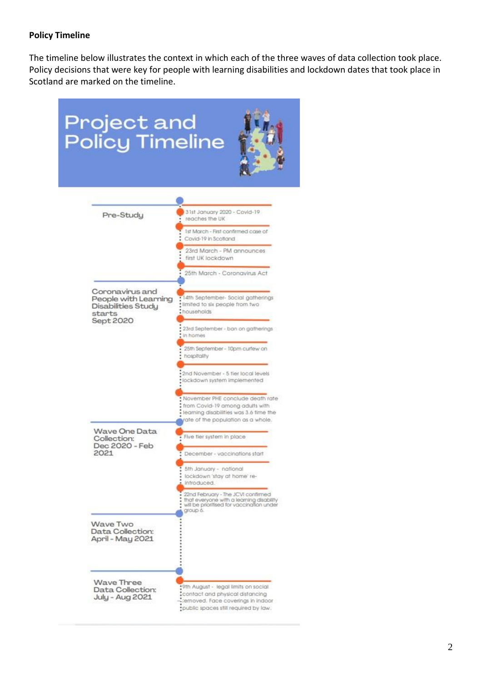## **Policy Timeline**

The timeline below illustrates the context in which each of the three waves of data collection took place. Policy decisions that were key for people with learning disabilities and lockdown dates that took place in Scotland are marked on the timeline.

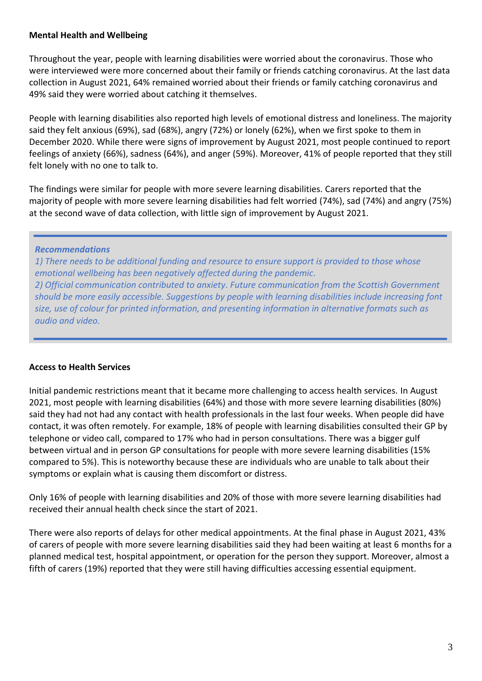## **Mental Health and Wellbeing**

Throughout the year, people with learning disabilities were worried about the coronavirus. Those who were interviewed were more concerned about their family or friends catching coronavirus. At the last data collection in August 2021, 64% remained worried about their friends or family catching coronavirus and 49% said they were worried about catching it themselves.

People with learning disabilities also reported high levels of emotional distress and loneliness. The majority said they felt anxious (69%), sad (68%), angry (72%) or lonely (62%), when we first spoke to them in December 2020. While there were signs of improvement by August 2021, most people continued to report feelings of anxiety (66%), sadness (64%), and anger (59%). Moreover, 41% of people reported that they still felt lonely with no one to talk to.

The findings were similar for people with more severe learning disabilities. Carers reported that the majority of people with more severe learning disabilities had felt worried (74%), sad (74%) and angry (75%) at the second wave of data collection, with little sign of improvement by August 2021.

## *Recommendations*

*1) There needs to be additional funding and resource to ensure support is provided to those whose emotional wellbeing has been negatively affected during the pandemic.*

*2) Official communication contributed to anxiety. Future communication from the Scottish Government should be more easily accessible. Suggestions by people with learning disabilities include increasing font size, use of colour for printed information, and presenting information in alternative formats such as audio and video.*

## **Access to Health Services**

Initial pandemic restrictions meant that it became more challenging to access health services. In August 2021, most people with learning disabilities (64%) and those with more severe learning disabilities (80%) said they had not had any contact with health professionals in the last four weeks. When people did have contact, it was often remotely. For example, 18% of people with learning disabilities consulted their GP by telephone or video call, compared to 17% who had in person consultations. There was a bigger gulf between virtual and in person GP consultations for people with more severe learning disabilities (15% compared to 5%). This is noteworthy because these are individuals who are unable to talk about their symptoms or explain what is causing them discomfort or distress.

Only 16% of people with learning disabilities and 20% of those with more severe learning disabilities had received their annual health check since the start of 2021.

There were also reports of delays for other medical appointments. At the final phase in August 2021, 43% of carers of people with more severe learning disabilities said they had been waiting at least 6 months for a planned medical test, hospital appointment, or operation for the person they support. Moreover, almost a fifth of carers (19%) reported that they were still having difficulties accessing essential equipment.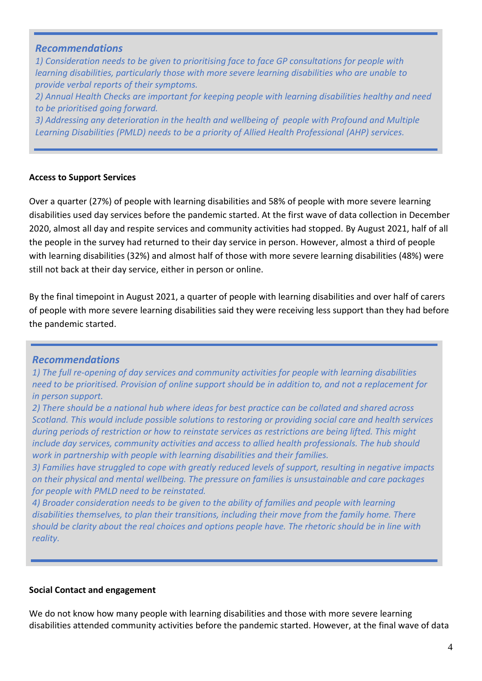## *Recommendations*

*1) Consideration needs to be given to prioritising face to face GP consultations for people with learning disabilities, particularly those with more severe learning disabilities who are unable to provide verbal reports of their symptoms. 2) Annual Health Checks are important for keeping people with learning disabilities healthy and need to be prioritised going forward. 3) Addressing any deterioration in the health and wellbeing of people with Profound and Multiple Learning Disabilities (PMLD) needs to be a priority of Allied Health Professional (AHP) services.* 

## **Access to Support Services**

Over a quarter (27%) of people with learning disabilities and 58% of people with more severe learning disabilities used day services before the pandemic started. At the first wave of data collection in December 2020, almost all day and respite services and community activities had stopped. By August 2021, half of all the people in the survey had returned to their day service in person. However, almost a third of people with learning disabilities (32%) and almost half of those with more severe learning disabilities (48%) were still not back at their day service, either in person or online.

By the final timepoint in August 2021, a quarter of people with learning disabilities and over half of carers of people with more severe learning disabilities said they were receiving less support than they had before the pandemic started.

# *Recommendations*

*1) The full re-opening of day services and community activities for people with learning disabilities need to be prioritised. Provision of online support should be in addition to, and not a replacement for in person support.* 

*2) There should be a national hub where ideas for best practice can be collated and shared across Scotland. This would include possible solutions to restoring or providing social care and health services during periods of restriction or how to reinstate services as restrictions are being lifted. This might include day services, community activities and access to allied health professionals. The hub should work in partnership with people with learning disabilities and their families.*

*3) Families have struggled to cope with greatly reduced levels of support, resulting in negative impacts on their physical and mental wellbeing. The pressure on families is unsustainable and care packages for people with PMLD need to be reinstated.*

*4) Broader consideration needs to be given to the ability of families and people with learning disabilities themselves, to plan their transitions, including their move from the family home. There should be clarity about the real choices and options people have. The rhetoric should be in line with reality.*

## **Social Contact and engagement**

We do not know how many people with learning disabilities and those with more severe learning disabilities attended community activities before the pandemic started. However, at the final wave of data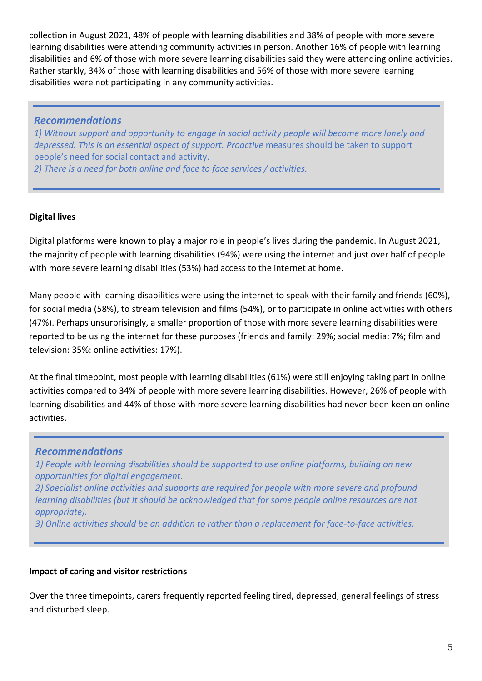collection in August 2021, 48% of people with learning disabilities and 38% of people with more severe learning disabilities were attending community activities in person. Another 16% of people with learning disabilities and 6% of those with more severe learning disabilities said they were attending online activities. Rather starkly, 34% of those with learning disabilities and 56% of those with more severe learning disabilities were not participating in any community activities.

## *Recommendations*

*1) Without support and opportunity to engage in social activity people will become more lonely and depressed. This is an essential aspect of support. Proactive* measures should be taken to support people's need for social contact and activity.

*2) There is a need for both online and face to face services / activities.*

## **Digital lives**

Digital platforms were known to play a major role in people's lives during the pandemic. In August 2021, the majority of people with learning disabilities (94%) were using the internet and just over half of people with more severe learning disabilities (53%) had access to the internet at home.

Many people with learning disabilities were using the internet to speak with their family and friends (60%), for social media (58%), to stream television and films (54%), or to participate in online activities with others (47%). Perhaps unsurprisingly, a smaller proportion of those with more severe learning disabilities were reported to be using the internet for these purposes (friends and family: 29%; social media: 7%; film and television: 35%: online activities: 17%).

At the final timepoint, most people with learning disabilities (61%) were still enjoying taking part in online activities compared to 34% of people with more severe learning disabilities. However, 26% of people with learning disabilities and 44% of those with more severe learning disabilities had never been keen on online activities.

## *Recommendations*

*1) People with learning disabilities should be supported to use online platforms, building on new opportunities for digital engagement.*

*2) Specialist online activities and supports are required for people with more severe and profound learning disabilities (but it should be acknowledged that for some people online resources are not appropriate).*

*3) Online activities should be an addition to rather than a replacement for face-to-face activities.*

## **Impact of caring and visitor restrictions**

Over the three timepoints, carers frequently reported feeling tired, depressed, general feelings of stress and disturbed sleep.